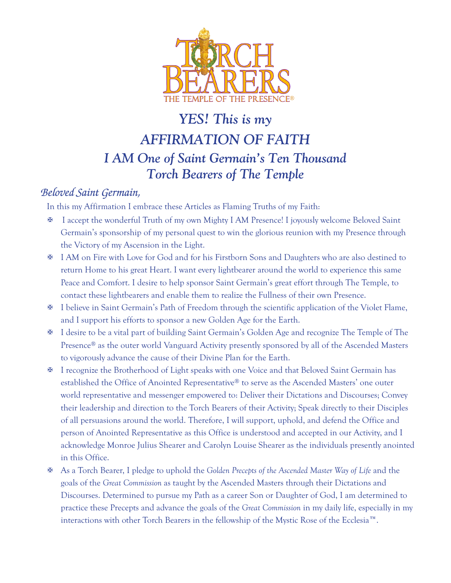

# *YES! This is my AFFIRMATION OF FAITH I AM One of Saint Germain's Ten Thousand Torch Bearers of The Temple*

### *Beloved Saint Germain,*

In this my Affirmation I embrace these Articles as Flaming Truths of my Faith:

- ✠ I accept the wonderful Truth of my own Mighty I AM Presence! I joyously welcome Beloved Saint Germain's sponsorship of my personal quest to win the glorious reunion with my Presence through the Victory of my Ascension in the Light.
- ✠ I AM on Fire with Love for God and for his Firstborn Sons and Daughters who are also destined to return Home to his great Heart. I want every lightbearer around the world to experience this same Peace and Comfort. I desire to help sponsor Saint Germain's great effort through The Temple, to contact these lightbearers and enable them to realize the Fullness of their own Presence.
- ✠ I believe in Saint Germain's Path of Freedom through the scientific application of the Violet Flame, and I support his efforts to sponsor a new Golden Age for the Earth.
- ✠ I desire to be a vital part of building Saint Germain's Golden Age and recognize The Temple of The Presence<sup>®</sup> as the outer world Vanguard Activity presently sponsored by all of the Ascended Masters to vigorously advance the cause of their Divine Plan for the Earth.
- ✠ I recognize the Brotherhood of Light speaks with one Voice and that Beloved Saint Germain has established the Office of Anointed Representative® to serve as the Ascended Masters' one outer world representative and messenger empowered to: Deliver their Dictations and Discourses; Convey their leadership and direction to the Torch Bearers of their Activity; Speak directly to their Disciples of all persuasions around the world. Therefore, I will support, uphold, and defend the Office and person of Anointed Representative as this Office is understood and accepted in our Activity, and I acknowledge Monroe Julius Shearer and Carolyn Louise Shearer as the individuals presently anointed in this Office.
- As a Torch Bearer, I pledge to uphold the *Golden Precepts of the Ascended Master Way of Life* and the goals of the *Great Commission* as taught by the Ascended Masters through their Dictations and Discourses. Determined to pursue my Path as a career Son or Daughter of God, I am determined to practice these Precepts and advance the goals of the *Great Commission* in my daily life, especially in my interactions with other Torch Bearers in the fellowship of the Mystic Rose of the Ecclesia<sup>™</sup>.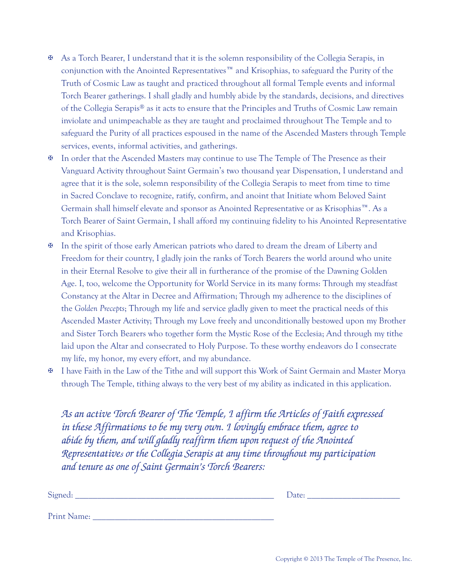- ✠ As a Torch Bearer, I understand that it is the solemn responsibility of the Collegia Serapis, in conjunction with the Anointed Representatives<sup>™</sup> and Krisophias, to safeguard the Purity of the Truth of Cosmic Law as taught and practiced throughout all formal Temple events and informal Torch Bearer gatherings. I shall gladly and humbly abide by the standards, decisions, and directives of the Collegia Serapis<sup>®</sup> as it acts to ensure that the Principles and Truths of Cosmic Law remain inviolate and unimpeachable as they are taught and proclaimed throughout The Temple and to safeguard the Purity of all practices espoused in the name of the Ascended Masters through Temple services, events, informal activities, and gatherings.
- ✠ In order that the Ascended Masters may continue to use The Temple of The Presence as their Vanguard Activity throughout Saint Germain's two thousand year Dispensation, I understand and agree that it is the sole, solemn responsibility of the Collegia Serapis to meet from time to time in Sacred Conclave to recognize, ratify, confirm, and anoint that Initiate whom Beloved Saint Germain shall himself elevate and sponsor as Anointed Representative or as Krisophias<sup>™</sup>. As a Torch Bearer of Saint Germain, I shall afford my continuing fidelity to his Anointed Representative and Krisophias.
- ✠ In the spirit of those early American patriots who dared to dream the dream of Liberty and Freedom for their country, I gladly join the ranks of Torch Bearers the world around who unite in their Eternal Resolve to give their all in furtherance of the promise of the Dawning Golden Age. I, too, welcome the Opportunity for World Service in its many forms: Through my steadfast Constancy at the Altar in Decree and Affirmation; Through my adherence to the disciplines of the *Golden Precepts*; Through my life and service gladly given to meet the practical needs of this Ascended Master Activity; Through my Love freely and unconditionally bestowed upon my Brother and Sister Torch Bearers who together form the Mystic Rose of the Ecclesia; And through my tithe laid upon the Altar and consecrated to Holy Purpose. To these worthy endeavors do I consecrate my life, my honor, my every effort, and my abundance.
- I have Faith in the Law of the Tithe and will support this Work of Saint Germain and Master Morya through The Temple, tithing always to the very best of my ability as indicated in this application.

*As an active Torch Bearer of The Temple, I affirm the Articles of Faith expressed in these Affirmations to be my very own. I lovingly embrace them, agree to abide by them, and will gladly reaffirm them upon request of the Anointed Representatives or the Collegia Serapis at any time throughout my participation and tenure as one of Saint Germain's Torch Bearers:*

|--|--|

Print Name: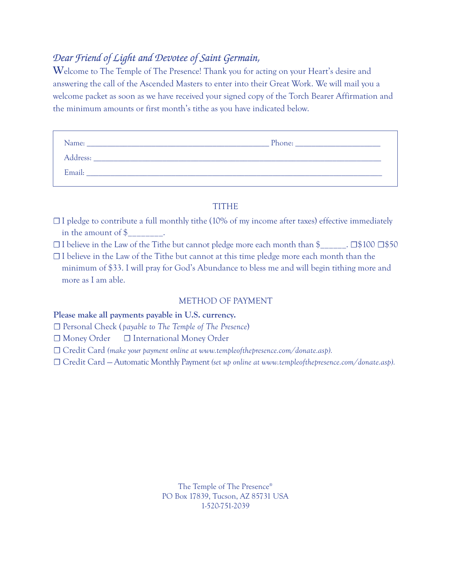## *Dear Friend of Light and Devotee of Saint Germain,*

**W**elcome to The Temple of The Presence! Thank you for acting on your Heart's desire and answering the call of the Ascended Masters to enter into their Great Work. We will mail you a welcome packet as soon as we have received your signed copy of the Torch Bearer Affirmation and the minimum amounts or first month's tithe as you have indicated below.

| Name:                                                                                       | Phone: |
|---------------------------------------------------------------------------------------------|--------|
| Address:<br>the contract of the contract of the contract of the contract of the contract of |        |
| Email:                                                                                      |        |

#### TITHE

- $\Box$  I pledge to contribute a full monthly tithe (10% of my income after taxes) effective immediately in the amount of  $\frac{1}{2}$
- ☐ I believe in the Law of the Tithe but cannot pledge more each month than \$\_\_\_\_\_\_. ☐\$100 ☐\$50
- ☐ I believe in the Law of the Tithe but cannot at this time pledge more each month than the minimum of \$33. I will pray for God's Abundance to bless me and will begin tithing more and more as I am able.

#### METHOD OF PAYMENT

#### **Please make all payments payable in U.S. currency.**

☐ Personal Check ( *payable to The Temple of The Presence*)

- ☐ Money Order ☐ International Money Order
- ☐ Credit Card *(make your payment online at www.templeofthepresence.com/donate.asp).*

☐ Credit Card — Automatic Monthly Payment *(set up online at www.templeofthepresence.com/donate.asp).*

The Temple of The Presence<sup>®</sup> PO Box 17839, Tucson, AZ 85731 USA 1-520-751-2039